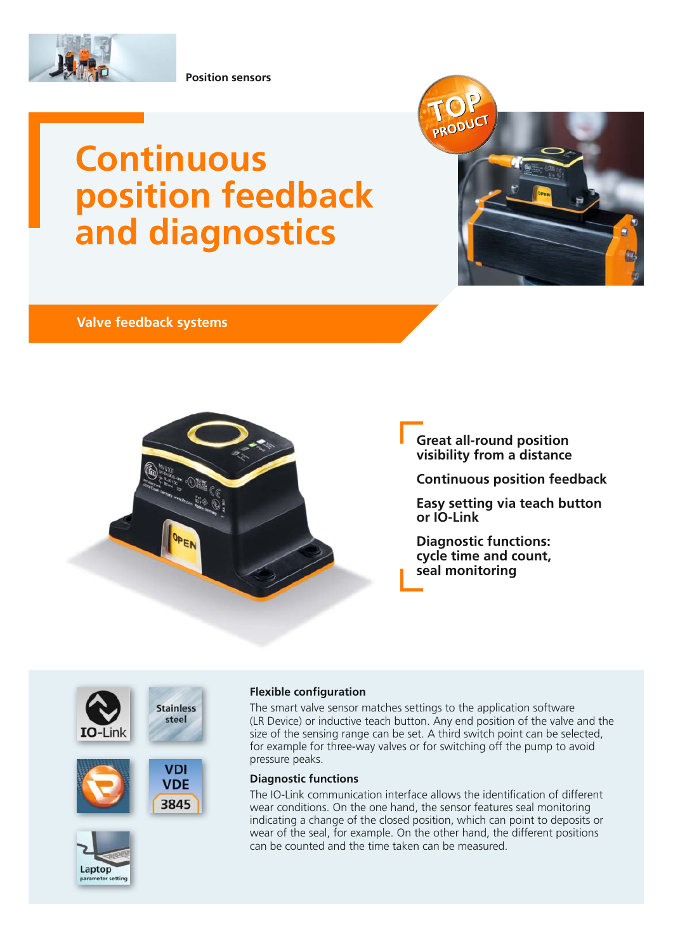

**Position sensors**

# **Continuous position feedback and diagnostics**

# **Valve feedback systems**











**Stainless** 



## **Flexible configuration**

The smart valve sensor matches settings to the application software (LR Device) or inductive teach button. Any end position of the valve and the size of the sensing range can be set. A third switch point can be selected, for example for three-way valves or for switching off the pump to avoid pressure peaks.

PRODUC

#### **Diagnostic functions**

The IO-Link communication interface allows the identification of different wear conditions. On the one hand, the sensor features seal monitoring indicating a change of the closed position, which can point to deposits or wear of the seal, for example. On the other hand, the different positions can be counted and the time taken can be measured.